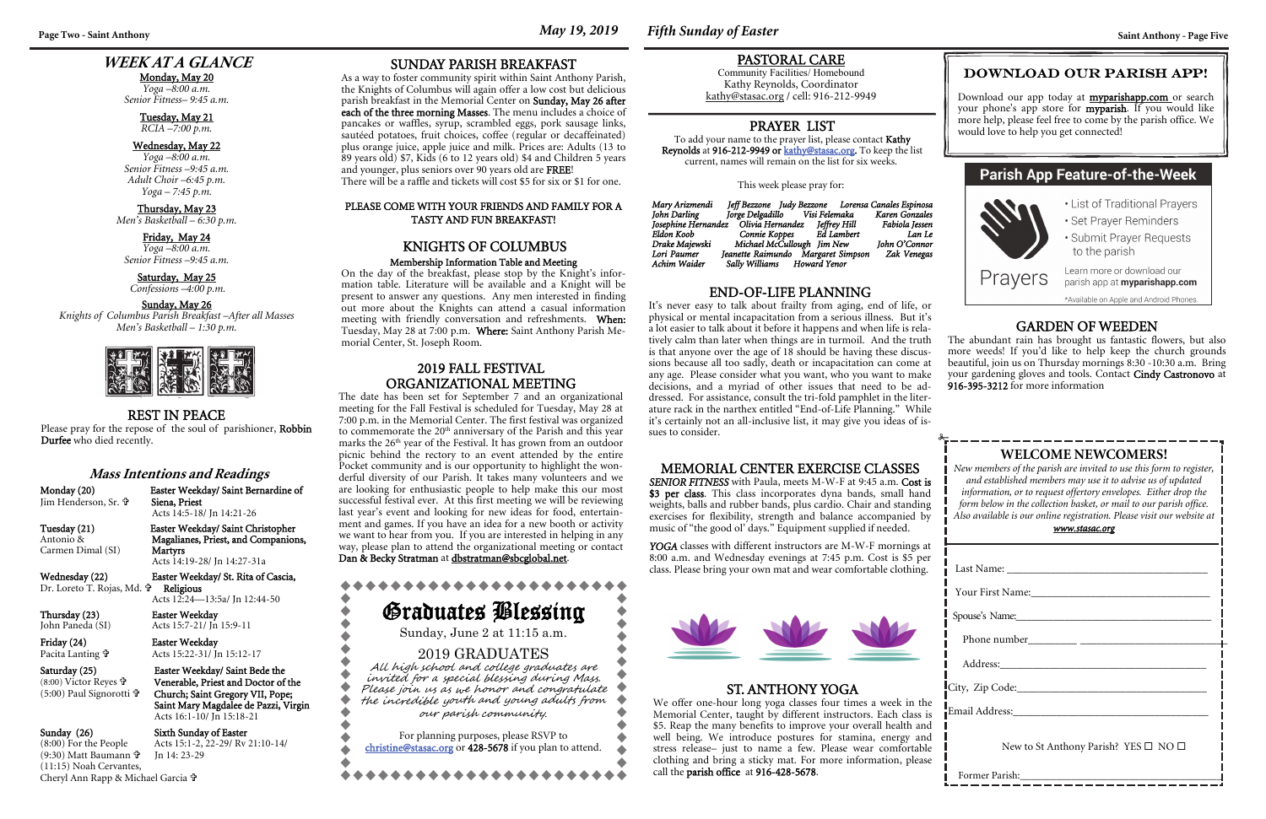**Page Two - Saint Anthony** *May 19, 2019 Fifth Sunday of Easter* **Saint Anthony - Page Five** 

### **WEEK AT A GLANCE**

Monday, May 20 *Yoga –8:00 a.m. Senior Fitness– 9:45 a.m.* 

### Tuesday, May 21 *RCIA –7:00 p.m.*

### Wednesday, May 22

Saturday, May 25  *Confessions –4:00 p.m.* 

*Yoga –8:00 a.m. Senior Fitness –9:45 a.m. Adult Choir –6:45 p.m. Yoga – 7:45 p.m.* 

### Thursday, May 23 *Men's Basketball – 6:30 p.m.*

Friday, May 24

*Yoga –8:00 a.m. Senior Fitness –9:45 a.m.* 

| <u>www.stasac.org</u>                                |  |  |  |
|------------------------------------------------------|--|--|--|
|                                                      |  |  |  |
|                                                      |  |  |  |
|                                                      |  |  |  |
| Spouse's Name:                                       |  |  |  |
|                                                      |  |  |  |
|                                                      |  |  |  |
|                                                      |  |  |  |
|                                                      |  |  |  |
| New to St Anthony Parish? YES $\square$ NO $\square$ |  |  |  |

Former Parish:

### Sunday, May 26

*Knights of Columbus Parish Breakfast –After all Masses Men's Basketball – 1:30 p.m.* 



### **WELCOME NEWCOMERS!**

*New members of the parish are invited to use this form to register, and established members may use it to advise us of updated information, or to request offertory envelopes. Either drop the form below in the collection basket, or mail to our parish office. Also available is our online registration. Please visit our website at* 

YOGA classes with different instructors are M-W-F mornings at 8:00 a.m. and Wednesday evenings at 7:45 p.m. Cost is \$5 per class. Please bring your own mat and wear comfortable clothing.

### REST IN PEACE

Please pray for the repose of the soul of parishioner, Robbin Durfee who died recently.

### MEMORIAL CENTER EXERCISE CLASSES

*SENIOR FITNESS* with Paula, meets M-W-F at 9:45 a.m. Cost is \$3 per class. This class incorporates dyna bands, small hand weights, balls and rubber bands, plus cardio. Chair and standing exercises for flexibility, strength and balance accompanied by music of "the good ol' days." Equipment supplied if needed.

### PASTORAL CARE

Community Facilities/ Homebound Kathy Reynolds, Coordinator kathy@stasac.org / cell: 916-212-9949

### END-OF-LIFE PLANNING

Friday (24) **Easter Weekday** Pacita Lanting

### DOWNLOAD OUR PARISH APP!

Download our app today at myparishapp.com or search your phone's app store for **myparish**. If you would like more help, please feel free to come by the parish office. We would love to help you get connected!

### **Parish App Feature-of-the-Week**

• List of Traditional Prayers • Set Prayer Reminders • Submit Prayer Requests

to the parish

Prayers

Learn more or download our parish app at **myparishapp.com** 

\*Available on Apple and Android Phones.

### ST. ANTHONY YOGA

We offer one-hour long yoga classes four times a week in the Memorial Center, taught by different instructors. Each class is \$5. Reap the many benefits to improve your overall health and well being. We introduce postures for stamina, energy and stress release– just to name a few. Please wear comfortable clothing and bring a sticky mat. For more information, please call the parish office at 916-428-5678.

 Please joi<sup>n</sup> us as we honor and <sup>c</sup>ongratulate the incredible youth and young adults from

### PRAYER LIST

To add your name to the prayer list, please contact Kathy Reynolds at 916-212-9949 or kathy@stasac.org. To keep the list current, names will remain on the list for six weeks.

This week please pray for:

It's never easy to talk about frailty from aging, end of life, or physical or mental incapacitation from a serious illness. But it's a lot easier to talk about it before it happens and when life is relatively calm than later when things are in turmoil. And the truth is that anyone over the age of 18 should be having these discussions because all too sadly, death or incapacitation can come at any age. Please consider what you want, who you want to make decisions, and a myriad of other issues that need to be addressed. For assistance, consult the tri-fold pamphlet in the literature rack in the narthex entitled "End-of-Life Planning." While it's certainly not an all-inclusive list, it may give you ideas of issues to consider. GARDEN OF WEEDEN The abundant rain has brought us fantastic flowers, but also more weeds! If you'd like to help keep the church grounds beautiful, join us on Thursday mornings 8:30 -10:30 a.m. Bring your gardening gloves and tools. Contact Cindy Castronovo at 916-395-3212 for more information

| Mary Arizmendi      | Jeff Bezzone Judy Bezzone Lorensa Canales Espinosa |                |
|---------------------|----------------------------------------------------|----------------|
| John Darling        | Jorge Delgadillo Visi Felemaka                     | Karen Gonzales |
| Josephine Hernandez | Olivia Hernandez Jeffrey Hill                      | Fabiola Iessen |
| Eldon Koob          | Connie Koppes Ed Lambert                           | Lan Le         |
| Drake Majewski      | Michael McCullough Jim New                         | John O'Connor  |
| Lori Paumer         | Jeanette Raimundo Margaret Simpson                 | Zak Venegas    |
| Achim Waider        | Sally Williams Howard Yenor                        |                |

### **Mass Intentions and Readings**

Monday (20) Easter Weekday/ Saint Bernardine of Jim Henderson, Sr.

 Siena, Priest Acts 14:5-18/ Jn 14:21-26

Carmen Dimal (SI)

Acts 14:19-28/ Jn 14:27-31a

Wednesday (22) Easter Weekday/ St. Rita of Cascia, Dr. Loreto T. Rojas, Md. Religious

Thursday (23) Easter Weekday<br>John Paneda (SI) Acts 15:7-21/ In

## Acts 12:24—13:5a/ Jn 12:44-50

Acts 15:22-31/ Jn 15:12-17

(8:00) Victor Reyes (5:00) Paul Signorotti

Saturday (25) Easter Weekday/ Saint Bede the Venerable, Priest and Doctor of the Church; Saint Gregory VII, Pope; Saint Mary Magdalee de Pazzi, Virgin Acts 16:1-10/ Jn 15:18-21

### Sunday (26) Sixth Sunday of Easter<br>
(8:00) For the People Acts 15:1-2, 22-29/ Rv Acts 15:1-2, 22-29/ Rv 21:10-14/

Jn 14: 23-29

(9:30) Matt Baumann (11:15) Noah Cervantes,

Tuesday (21) Easter Weekday/ Saint Christopher<br>Antonio & Magalianes, Priest, and Companion Magalianes, Priest, and Companions,<br>Martyrs

Acts 15:7-21/ Jn 15:9-11

Cheryl Ann Rapp & Michael Garcia

SUNDAY PARISH BREAKFAST

As a way to foster community spirit within Saint Anthony Parish, the Knights of Columbus will again offer a low cost but delicious parish breakfast in the Memorial Center on Sunday, May 26 after each of the three morning Masses. The menu includes a choice of pancakes or waffles, syrup, scrambled eggs, pork sausage links, sautéed potatoes, fruit choices, coffee (regular or decaffeinated) plus orange juice, apple juice and milk. Prices are: Adults (13 to 89 years old) \$7, Kids (6 to 12 years old) \$4 and Children 5 years

and younger, plus seniors over 90 years old are FREE!

There will be a raffle and tickets will cost \$5 for six or \$1 for one.

PLEASE COME WITH YOUR FRIENDS AND FAMILY FOR A TASTY AND FUN BREAKFAST!

KNIGHTS OF COLUMBUSMembership Information Table and Meeting On the day of the breakfast, please stop by the Knight's information table. Literature will be available and a Knight will be present to answer any questions. Any men interested in finding out more about the Knights can attend a casual information meeting with friendly conversation and refreshments. When: Tuesday, May 28 at 7:00 p.m. Where: Saint Anthony Parish Me-

morial Center, St. Joseph Room.

# Graduates Blessing

Sunday, June 2 at 11:15 a.m. 2019 GRADUATES

### All high school and college graduates are invited for a<sup>s</sup>pecial blessing during Mass.

ourparish <sup>c</sup>om<sup>m</sup>unity*.* 

For planning purposes, please RSVP to christine@stasac.org or 428-5678 if you plan to attend.

2019 FALL FESTIVAL ORGANIZATIONAL MEETINGThe date has been set for September 7 and an organizational meeting for the Fall Festival is scheduled for Tuesday, May 28 at 7:00 p.m. in the Memorial Center. The first festival was organized to commemorate the 20<sup>th</sup> anniversary of the Parish and this year marks the 26<sup>th</sup> year of the Festival. It has grown from an outdoor picnic behind the rectory to an event attended by the entire Pocket community and is our opportunity to highlight the wonderful diversity of our Parish. It takes many volunteers and we are looking for enthusiastic people to help make this our most successful festival ever. At this first meeting we will be reviewing last year's event and looking for new ideas for food, entertainment and games. If you have an idea for a new booth or activity we want to hear from you. If you are interested in helping in any way, please plan to attend the organizational meeting or contact

Dan & Becky Stratman at dbstratman@sbcglobal.net.